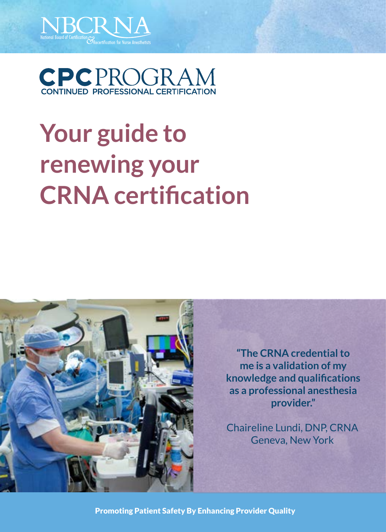



# **Your guide to renewing your CRNA certification**



**"The CRNA credential to me is a validation of my knowledge and qualifications as a professional anesthesia provider."**

Chaireline Lundi, DNP, CRNA Geneva, New York

Promoting Patient Safety By Enhancing Provider Quality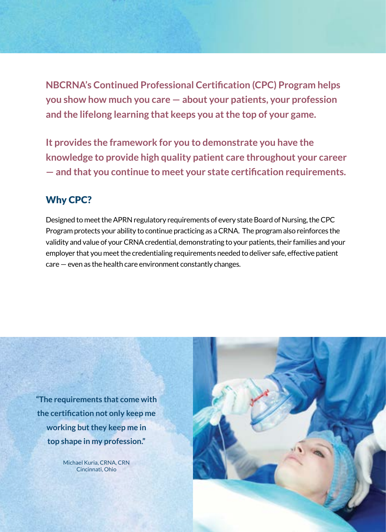**NBCRNA's Continued Professional Certification (CPC) Program helps you show how much you care — about your patients, your profession and the lifelong learning that keeps you at the top of your game.**

**It provides the framework for you to demonstrate you have the knowledge to provide high quality patient care throughout your career — and that you continue to meet your state certification requirements.**

# Why CPC?

Designed to meet the APRN regulatory requirements of every state Board of Nursing, the CPC Program protects your ability to continue practicing as a CRNA. The program also reinforces the validity and value of your CRNA credential, demonstrating to your patients, their families and your employer that you meet the credentialing requirements needed to deliver safe, effective patient care — even as the health care environment constantly changes.

**"The requirements that come with the certification not only keep me working but they keep me in top shape in my profession."**

> Michael Kuria, CRNA, CRN Cincinnati, Ohio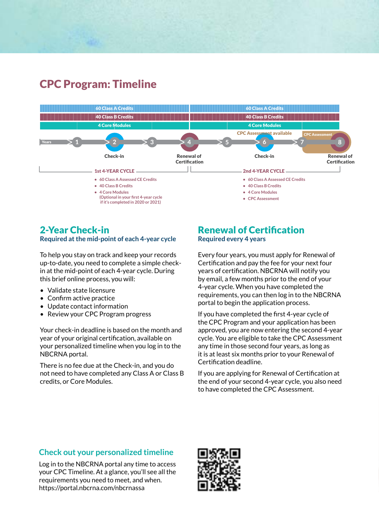# CPC Program: Timeline



# 2-Year Check-in

**Required at the mid-point of each 4-year cycle**

To help you stay on track and keep your records up-to-date, you need to complete a simple checkin at the mid-point of each 4-year cycle. During this brief online process, you will:

- Validate state licensure
- Confirm active practice
- Update contact information
- Review your CPC Program progress

Your check-in deadline is based on the month and year of your original certification, available on your personalized timeline when you log in to the NBCRNA portal.

There is no fee due at the Check-in, and you do not need to have completed any Class A or Class B credits, or Core Modules.

## Renewal of Certification **Required every 4 years**

Every four years, you must apply for Renewal of Certification and pay the fee for your next four years of certification. NBCRNA will notify you by email, a few months prior to the end of your 4-year cycle. When you have completed the requirements, you can then log in to the NBCRNA portal to begin the application process.

If you have completed the first 4-year cycle of the CPC Program and your application has been approved, you are now entering the second 4-year cycle. You are eligible to take the CPC Assessment any time in those second four years, as long as it is at least six months prior to your Renewal of Certification deadline.

If you are applying for Renewal of Certification at the end of your second 4-year cycle, you also need to have completed the CPC Assessment.

# **Check out your personalized timeline**

Log in to the NBCRNA portal any time to access your CPC Timeline. At a glance, you'll see all the requirements you need to meet, and when. https://portal.nbcrna.com/nbcrnassa

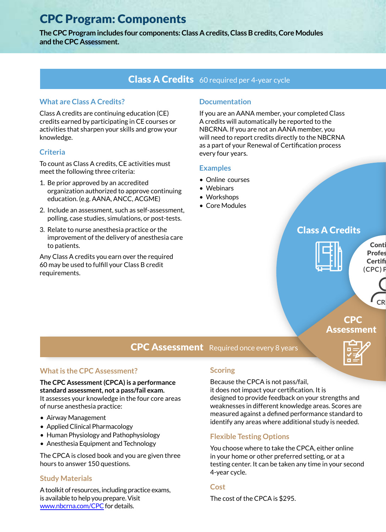# CPC Program: Components

**The CPC Program includes four components: Class A credits, Class B credits, Core Modules and the CPC Assessment.**

# Class A Credits 60 required per 4-year cycle

## **What are Class A Credits?**

Class A credits are continuing education (CE) credits earned by participating in CE courses or activities that sharpen your skills and grow your knowledge.

## **Criteria**

To count as Class A credits, CE activities must meet the following three criteria:

- 1. Be prior approved by an accredited organization authorized to approve continuing education. (e.g. AANA, ANCC, ACGME)
- 2. Include an assessment, such as self-assessment, polling, case studies, simulations, or post-tests.
- 3. Relate to nurse anesthesia practice or the improvement of the delivery of anesthesia care to patients.

Any Class A credits you earn over the required 60 may be used to fulfill your Class B credit requirements.

## **Documentation**

If you are an AANA member, your completed Class A credits will automatically be reported to the NBCRNA. If you are not an AANA member, you will need to report credits directly to the NBCRNA as a part of your Renewal of Certification process every four years.

#### **Examples**

- Online courses
- Webinars
- Workshops
- Core Modules

# Class A Credits



Conti **Profes** Certifi **(CPC) Program**



# Assessment



# **CPC Assessment** Required once every 8 years

## **What is the CPC Assessment?**

**The CPC Assessment (CPCA) is a performance standard assessment, not a pass/fail exam.**  It assesses your knowledge in the four core areas of nurse anesthesia practice:

- Airway Management
- Applied Clinical Pharmacology
- Human Physiology and Pathophysiology
- Anesthesia Equipment and Technology

The CPCA is closed book and you are given three hours to answer 150 questions.

## **Study Materials**

A toolkit of resources, including practice exams, is available to help you prepare. Visit [www.nbcrna.com/CPC](https://www.nbcrna.com/continued-certification/cpc-assessment) for details.

## **Scoring**

Because the CPCA is not pass/fail, it does not impact your certification. It is designed to provide feedback on your strengths and weaknesses in different knowledge areas. Scores are measured against a defined performance standard to identify any areas where additional study is needed.

# **Flexible Testing Options**

You choose where to take the CPCA, either online in your home or other preferred setting, or at a testing center. It can be taken any time in your second 4-year cycle.

## **Cost**

The cost of the CPCA is \$295.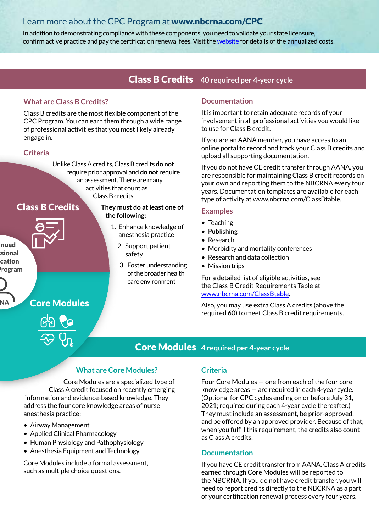# Learn more about the CPC Program at www.nbcrna.com/CPC

In addition to demonstrating compliance with these components, you need to validate your state licensure, confirm active practice and pay the certification renewal fees. Visit the [website](https://www.nbcrna.com/continued-certification) for details of the annualized costs.

# **Class B Credits** 40 required per 4-year cycle

## **What are Class B Credits?**

Class B credits are the most flexible component of the CPC Program. You can earn them through a wide range of professional activities that you most likely already engage in.

## **Criteria**

Unlike Class A credits, Class B credits **do not** require prior approval and **do not** require an assessment. There are many activities that count as Class B credits.

# Class B Credits



Core Modules

inued sional cation **(CPC) Program**

**CRNA**

**They must do at least one of the following:**

- 1. Enhance knowledge of anesthesia practice
	- 2. Support patient safety
	- 3. Foster understanding of the broader health care environment

#### **Documentation**

It is important to retain adequate records of your involvement in all professional activities you would like to use for Class B credit.

If you are an AANA member, you have access to an online portal to record and track your Class B credits and upload all supporting documentation.

If you do not have CE credit transfer through AANA, you are responsible for maintaining Class B credit records on your own and reporting them to the NBCRNA every four years. Documentation templates are available for each type of activity at www.nbcrna.com/ClassBtable.

#### **Examples**

- Teaching
- Publishing
- Research
- Morbidity and mortality conferences
- Research and data collection
- Mission trips

For a detailed list of eligible activities, see the Class B Credit Requirements Table at [www.nbcrna.com/ClassBtable.](https://www.nbcrna.com/docs/default-source/continued-certification/class-b-reporting/classbtable.pdf)

Also, you may use extra Class A credits (above the required 60) to meet Class B credit requirements.

# **Core Modules** 4 required per 4-year cycle

## **What are Core Modules?**

Core Modules are a specialized type of Class A credit focused on recently emerging information and evidence-based knowledge. They address the four core knowledge areas of nurse anesthesia practice:

- Airway Management
- Applied Clinical Pharmacology
- Human Physiology and Pathophysiology
- Anesthesia Equipment and Technology

Core Modules include a formal assessment, such as multiple choice questions.

#### **Criteria**

Four Core Modules — one from each of the four core knowledge areas — are required in each 4-year cycle. (Optional for CPC cycles ending on or before July 31, 2021; required during each 4-year cycle thereafter.) They must include an assessment, be prior-approved, and be offered by an approved provider. Because of that, when you fulfill this requirement, the credits also count as Class A credits.

## **Documentation**

If you have CE credit transfer from AANA, Class A credits earned through Core Modules will be reported to the NBCRNA. If you do not have credit transfer, you will need to report credits directly to the NBCRNA as a part of your certification renewal process every four years.